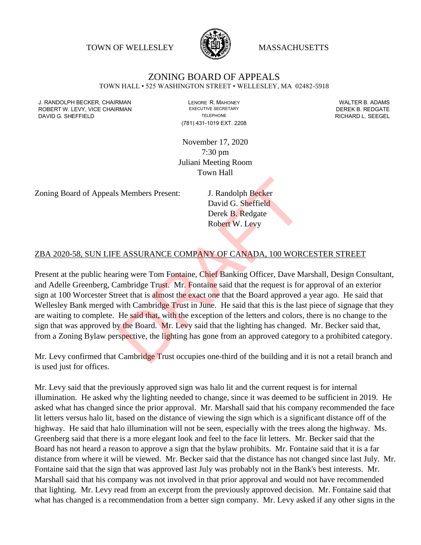TOWN OF WELLESLEY **WASSACHUSETTS** 



# ZONING BOARD OF APPEALS

TOWN HALL • 525 WASHINGTON STREET • WELLESLEY, MA 02482-5918

J. RANDOLPH BECKER, CHAIRMAN LENORE R. MAHONEY LENORE R. MAHONEY LENORE R. ADAMS<br>
ROBERT W. LEVY. VICE CHAIRMAN LEWING BECRETARY LETTER AND EXECUTIVE SECRETARY LETTER AND REDGATE ROBERT W. LEVY, VICE CHAIRMAN DAVID G. SHEFFIELD **TELEPHONE** TELEPHONE TELEPHONE **TELEPHONE RICHARD L. SEEGEL** 

(781) 431-1019 EXT. 2208

November 17, 2020 7:30 pm Juliani Meeting Room Town Hall

Zoning Board of Appeals Members Present: J. Randolph Becker

David G. Sheffield Derek B. Redgate Robert W. Levy

### ZBA 2020-58, SUN LIFE ASSURANCE COMPANY OF CANADA, 100 WORCESTER STREET

Present at the public hearing were Tom Fontaine, Chief Banking Officer, Dave Marshall, Design Consultant, and Adelle Greenberg, Cambridge Trust. Mr. Fontaine said that the request is for approval of an exterior sign at 100 Worcester Street that is almost the exact one that the Board approved a year ago. He said that Wellesley Bank merged with Cambridge Trust in June. He said that this is the last piece of signage that they are waiting to complete. He said that, with the exception of the letters and colors, there is no change to the sign that was approved by the Board. Mr. Levy said that the lighting has changed. Mr. Becker said that, from a Zoning Bylaw perspective, the lighting has gone from an approved category to a prohibited category. S Members Present:<br>
J. Randolph Becker<br>
David G. Sheffield<br>
Derek B. Redgate<br>
Robert W. Levy<br>
E ASSURANCE COMPANY OF CANADA, 100 WOR<br>
ting were Tom Fontaine, Chief Banking Officer, Dave M<br>
ambridge Trust. Mr. Fontaine said

Mr. Levy confirmed that Cambridge Trust occupies one-third of the building and it is not a retail branch and is used just for offices.

Mr. Levy said that the previously approved sign was halo lit and the current request is for internal illumination. He asked why the lighting needed to change, since it was deemed to be sufficient in 2019. He asked what has changed since the prior approval. Mr. Marshall said that his company recommended the face lit letters versus halo lit, based on the distance of viewing the sign which is a significant distance off of the highway. He said that halo illumination will not be seen, especially with the trees along the highway. Ms. Greenberg said that there is a more elegant look and feel to the face lit letters. Mr. Becker said that the Board has not heard a reason to approve a sign that the bylaw prohibits. Mr. Fontaine said that it is a far distance from where it will be viewed. Mr. Becker said that the distance has not changed since last July. Mr. Fontaine said that the sign that was approved last July was probably not in the Bank's best interests. Mr. Marshall said that his company was not involved in that prior approval and would not have recommended that lighting. Mr. Levy read from an excerpt from the previously approved decision. Mr. Fontaine said that what has changed is a recommendation from a better sign company. Mr. Levy asked if any other signs in the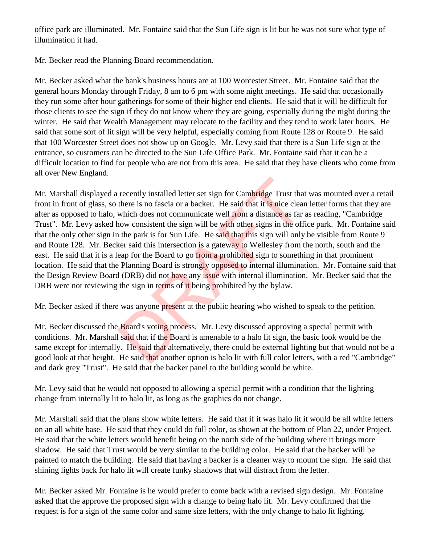office park are illuminated. Mr. Fontaine said that the Sun Life sign is lit but he was not sure what type of illumination it had.

Mr. Becker read the Planning Board recommendation.

Mr. Becker asked what the bank's business hours are at 100 Worcester Street. Mr. Fontaine said that the general hours Monday through Friday, 8 am to 6 pm with some night meetings. He said that occasionally they run some after hour gatherings for some of their higher end clients. He said that it will be difficult for those clients to see the sign if they do not know where they are going, especially during the night during the winter. He said that Wealth Management may relocate to the facility and they tend to work later hours. He said that some sort of lit sign will be very helpful, especially coming from Route 128 or Route 9. He said that 100 Worcester Street does not show up on Google. Mr. Levy said that there is a Sun Life sign at the entrance, so customers can be directed to the Sun Life Office Park. Mr. Fontaine said that it can be a difficult location to find for people who are not from this area. He said that they have clients who come from all over New England.

Mr. Marshall displayed a recently installed letter set sign for Cambridge Trust that was mounted over a retail front in front of glass, so there is no fascia or a backer. He said that it is nice clean letter forms that they are after as opposed to halo, which does not communicate well from a distance as far as reading, "Cambridge Trust". Mr. Levy asked how consistent the sign will be with other signs in the office park. Mr. Fontaine said that the only other sign in the park is for Sun Life. He said that this sign will only be visible from Route 9 and Route 128. Mr. Becker said this intersection is a gateway to Wellesley from the north, south and the east. He said that it is a leap for the Board to go from a prohibited sign to something in that prominent location. He said that the Planning Board is strongly opposed to internal illumination. Mr. Fontaine said that the Design Review Board (DRB) did not have any issue with internal illumination. Mr. Becker said that the DRB were not reviewing the sign in terms of it being prohibited by the bylaw. recently installed letter set sign for Cambridge Trust that<br>there is no fascia or a backer. He said that it is nice clear<br>which does not communicate well from a distance as far<br>now consistent the sign will be with other si

Mr. Becker asked if there was anyone present at the public hearing who wished to speak to the petition.

Mr. Becker discussed the Board's voting process. Mr. Levy discussed approving a special permit with conditions. Mr. Marshall said that if the Board is amenable to a halo lit sign, the basic look would be the same except for internally. He said that alternatively, there could be external lighting but that would not be a good look at that height. He said that another option is halo lit with full color letters, with a red "Cambridge" and dark grey "Trust". He said that the backer panel to the building would be white.

Mr. Levy said that he would not opposed to allowing a special permit with a condition that the lighting change from internally lit to halo lit, as long as the graphics do not change.

Mr. Marshall said that the plans show white letters. He said that if it was halo lit it would be all white letters on an all white base. He said that they could do full color, as shown at the bottom of Plan 22, under Project. He said that the white letters would benefit being on the north side of the building where it brings more shadow. He said that Trust would be very similar to the building color. He said that the backer will be painted to match the building. He said that having a backer is a cleaner way to mount the sign. He said that shining lights back for halo lit will create funky shadows that will distract from the letter.

Mr. Becker asked Mr. Fontaine is he would prefer to come back with a revised sign design. Mr. Fontaine asked that the approve the proposed sign with a change to being halo lit. Mr. Levy confirmed that the request is for a sign of the same color and same size letters, with the only change to halo lit lighting.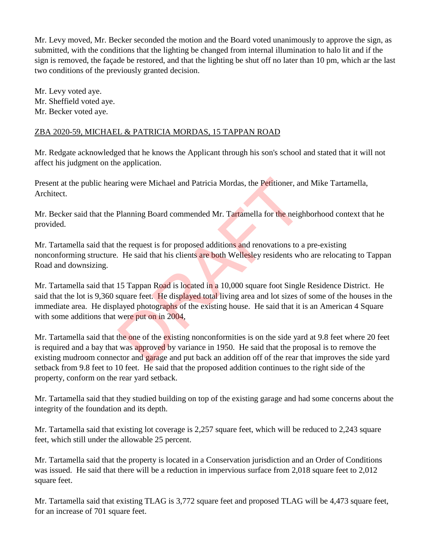Mr. Levy moved, Mr. Becker seconded the motion and the Board voted unanimously to approve the sign, as submitted, with the conditions that the lighting be changed from internal illumination to halo lit and if the sign is removed, the façade be restored, and that the lighting be shut off no later than 10 pm, which ar the last two conditions of the previously granted decision.

Mr. Levy voted aye. Mr. Sheffield voted aye. Mr. Becker voted aye.

## ZBA 2020-59, MICHAEL & PATRICIA MORDAS, 15 TAPPAN ROAD

Mr. Redgate acknowledged that he knows the Applicant through his son's school and stated that it will not affect his judgment on the application.

Present at the public hearing were Michael and Patricia Mordas, the Petitioner, and Mike Tartamella, Architect.

Mr. Becker said that the Planning Board commended Mr. Tartamella for the neighborhood context that he provided.

Mr. Tartamella said that the request is for proposed additions and renovations to a pre-existing nonconforming structure. He said that his clients are both Wellesley residents who are relocating to Tappan Road and downsizing.

Mr. Tartamella said that 15 Tappan Road is located in a 10,000 square foot Single Residence District. He said that the lot is 9,360 square feet. He displayed total living area and lot sizes of some of the houses in the immediate area. He displayed photographs of the existing house. He said that it is an American 4 Square with some additions that were put on in 2004, ing were Michael and Patricia Mordas, the Petitioner, an<br>
Planning Board commended Mr. Tartamella for the neight<br>
the request is for proposed additions and renovations to a<br>
He said that his clients are both Wellesley resi

Mr. Tartamella said that the one of the existing nonconformities is on the side yard at 9.8 feet where 20 feet is required and a bay that was approved by variance in 1950. He said that the proposal is to remove the existing mudroom connector and garage and put back an addition off of the rear that improves the side yard setback from 9.8 feet to 10 feet. He said that the proposed addition continues to the right side of the property, conform on the rear yard setback.

Mr. Tartamella said that they studied building on top of the existing garage and had some concerns about the integrity of the foundation and its depth.

Mr. Tartamella said that existing lot coverage is 2,257 square feet, which will be reduced to 2,243 square feet, which still under the allowable 25 percent.

Mr. Tartamella said that the property is located in a Conservation jurisdiction and an Order of Conditions was issued. He said that there will be a reduction in impervious surface from 2,018 square feet to 2,012 square feet.

Mr. Tartamella said that existing TLAG is 3,772 square feet and proposed TLAG will be 4,473 square feet, for an increase of 701 square feet.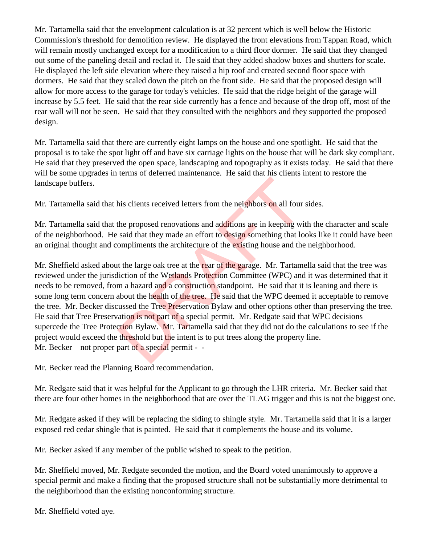Mr. Tartamella said that the envelopment calculation is at 32 percent which is well below the Historic Commission's threshold for demolition review. He displayed the front elevations from Tappan Road, which will remain mostly unchanged except for a modification to a third floor dormer. He said that they changed out some of the paneling detail and reclad it. He said that they added shadow boxes and shutters for scale. He displayed the left side elevation where they raised a hip roof and created second floor space with dormers. He said that they scaled down the pitch on the front side. He said that the proposed design will allow for more access to the garage for today's vehicles. He said that the ridge height of the garage will increase by 5.5 feet. He said that the rear side currently has a fence and because of the drop off, most of the rear wall will not be seen. He said that they consulted with the neighbors and they supported the proposed design.

Mr. Tartamella said that there are currently eight lamps on the house and one spotlight. He said that the proposal is to take the spot light off and have six carriage lights on the house that will be dark sky compliant. He said that they preserved the open space, landscaping and topography as it exists today. He said that there will be some upgrades in terms of deferred maintenance. He said that his clients intent to restore the landscape buffers.

Mr. Tartamella said that his clients received letters from the neighbors on all four sides.

Mr. Tartamella said that the proposed renovations and additions are in keeping with the character and scale of the neighborhood. He said that they made an effort to design something that looks like it could have been an original thought and compliments the architecture of the existing house and the neighborhood.

Mr. Sheffield asked about the large oak tree at the rear of the garage. Mr. Tartamella said that the tree was reviewed under the jurisdiction of the Wetlands Protection Committee (WPC) and it was determined that it needs to be removed, from a hazard and a construction standpoint. He said that it is leaning and there is some long term concern about the health of the tree. He said that the WPC deemed it acceptable to remove the tree. Mr. Becker discussed the Tree Preservation Bylaw and other options other than preserving the tree. He said that Tree Preservation is not part of a special permit. Mr. Redgate said that WPC decisions supercede the Tree Protection Bylaw. Mr. Tartamella said that they did not do the calculations to see if the project would exceed the threshold but the intent is to put trees along the property line. Mr. Becker – not proper part of a special permit - his clients received letters from the neighbors on all four<br>the proposed renovations and additions are in keeping wi<br>said that they made an effort to design something that lo<br>ompliments the architecture of the existing hou

Mr. Becker read the Planning Board recommendation.

Mr. Redgate said that it was helpful for the Applicant to go through the LHR criteria. Mr. Becker said that there are four other homes in the neighborhood that are over the TLAG trigger and this is not the biggest one.

Mr. Redgate asked if they will be replacing the siding to shingle style. Mr. Tartamella said that it is a larger exposed red cedar shingle that is painted. He said that it complements the house and its volume.

Mr. Becker asked if any member of the public wished to speak to the petition.

Mr. Sheffield moved, Mr. Redgate seconded the motion, and the Board voted unanimously to approve a special permit and make a finding that the proposed structure shall not be substantially more detrimental to the neighborhood than the existing nonconforming structure.

Mr. Sheffield voted aye.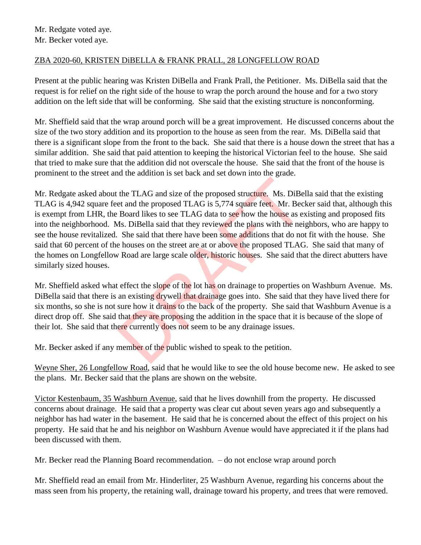## ZBA 2020-60, KRISTEN DiBELLA & FRANK PRALL, 28 LONGFELLOW ROAD

Present at the public hearing was Kristen DiBella and Frank Prall, the Petitioner. Ms. DiBella said that the request is for relief on the right side of the house to wrap the porch around the house and for a two story addition on the left side that will be conforming. She said that the existing structure is nonconforming.

Mr. Sheffield said that the wrap around porch will be a great improvement. He discussed concerns about the size of the two story addition and its proportion to the house as seen from the rear. Ms. DiBella said that there is a significant slope from the front to the back. She said that there is a house down the street that has a similar addition. She said that paid attention to keeping the historical Victorian feel to the house. She said that tried to make sure that the addition did not overscale the house. She said that the front of the house is prominent to the street and the addition is set back and set down into the grade.

Mr. Redgate asked about the TLAG and size of the proposed structure. Ms. DiBella said that the existing TLAG is 4,942 square feet and the proposed TLAG is 5,774 square feet. Mr. Becker said that, although this is exempt from LHR, the Board likes to see TLAG data to see how the house as existing and proposed fits into the neighborhood. Ms. DiBella said that they reviewed the plans with the neighbors, who are happy to see the house revitalized. She said that there have been some additions that do not fit with the house. She said that 60 percent of the houses on the street are at or above the proposed TLAG. She said that many of the homes on Longfellow Road are large scale older, historic houses. She said that the direct abutters have similarly sized houses. the TLAG and size of the proposed structure. Ms. DiBe<br>et and the proposed TLAG is 5,774 square feet. Mr. Bec<br>Board likes to see TLAG data to see how the house as es<br>As. DiBella said that they reviewed the plans with the ne

Mr. Sheffield asked what effect the slope of the lot has on drainage to properties on Washburn Avenue. Ms. DiBella said that there is an existing drywell that drainage goes into. She said that they have lived there for six months, so she is not sure how it drains to the back of the property. She said that Washburn Avenue is a direct drop off. She said that they are proposing the addition in the space that it is because of the slope of their lot. She said that there currently does not seem to be any drainage issues.

Mr. Becker asked if any member of the public wished to speak to the petition.

Weyne Sher, 26 Longfellow Road, said that he would like to see the old house become new. He asked to see the plans. Mr. Becker said that the plans are shown on the website.

Victor Kestenbaum, 35 Washburn Avenue, said that he lives downhill from the property. He discussed concerns about drainage. He said that a property was clear cut about seven years ago and subsequently a neighbor has had water in the basement. He said that he is concerned about the effect of this project on his property. He said that he and his neighbor on Washburn Avenue would have appreciated it if the plans had been discussed with them.

Mr. Becker read the Planning Board recommendation. – do not enclose wrap around porch

Mr. Sheffield read an email from Mr. Hinderliter, 25 Washburn Avenue, regarding his concerns about the mass seen from his property, the retaining wall, drainage toward his property, and trees that were removed.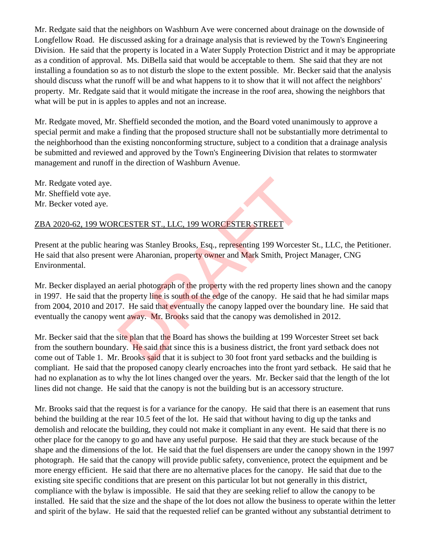Mr. Redgate said that the neighbors on Washburn Ave were concerned about drainage on the downside of Longfellow Road. He discussed asking for a drainage analysis that is reviewed by the Town's Engineering Division. He said that the property is located in a Water Supply Protection District and it may be appropriate as a condition of approval. Ms. DiBella said that would be acceptable to them. She said that they are not installing a foundation so as to not disturb the slope to the extent possible. Mr. Becker said that the analysis should discuss what the runoff will be and what happens to it to show that it will not affect the neighbors' property. Mr. Redgate said that it would mitigate the increase in the roof area, showing the neighbors that what will be put in is apples to apples and not an increase.

Mr. Redgate moved, Mr. Sheffield seconded the motion, and the Board voted unanimously to approve a special permit and make a finding that the proposed structure shall not be substantially more detrimental to the neighborhood than the existing nonconforming structure, subject to a condition that a drainage analysis be submitted and reviewed and approved by the Town's Engineering Division that relates to stormwater management and runoff in the direction of Washburn Avenue.

Mr. Redgate voted aye. Mr. Sheffield vote aye. Mr. Becker voted aye.

## ZBA 2020-62, 199 WORCESTER ST., LLC, 199 WORCESTER STREET

Present at the public hearing was Stanley Brooks, Esq., representing 199 Worcester St., LLC, the Petitioner. He said that also present were Aharonian, property owner and Mark Smith, Project Manager, CNG Environmental.

Mr. Becker displayed an aerial photograph of the property with the red property lines shown and the canopy in 1997. He said that the property line is south of the edge of the canopy. He said that he had similar maps from 2004, 2010 and 2017. He said that eventually the canopy lapped over the boundary line. He said that eventually the canopy went away. Mr. Brooks said that the canopy was demolished in 2012. CESTER ST., LLC, 199 WORCESTER STREET<br>
ing was Stanley Brooks, Esq., representing 199 Worcest<br>
were Aharonian, property owner and Mark Smith, Projec<br>
aerial photograph of the property with the red property li<br>
property lin

Mr. Becker said that the site plan that the Board has shows the building at 199 Worcester Street set back from the southern boundary. He said that since this is a business district, the front yard setback does not come out of Table 1. Mr. Brooks said that it is subject to 30 foot front yard setbacks and the building is compliant. He said that the proposed canopy clearly encroaches into the front yard setback. He said that he had no explanation as to why the lot lines changed over the years. Mr. Becker said that the length of the lot lines did not change. He said that the canopy is not the building but is an accessory structure.

Mr. Brooks said that the request is for a variance for the canopy. He said that there is an easement that runs behind the building at the rear 10.5 feet of the lot. He said that without having to dig up the tanks and demolish and relocate the building, they could not make it compliant in any event. He said that there is no other place for the canopy to go and have any useful purpose. He said that they are stuck because of the shape and the dimensions of the lot. He said that the fuel dispensers are under the canopy shown in the 1997 photograph. He said that the canopy will provide public safety, convenience, protect the equipment and be more energy efficient. He said that there are no alternative places for the canopy. He said that due to the existing site specific conditions that are present on this particular lot but not generally in this district, compliance with the bylaw is impossible. He said that they are seeking relief to allow the canopy to be installed. He said that the size and the shape of the lot does not allow the business to operate within the letter and spirit of the bylaw. He said that the requested relief can be granted without any substantial detriment to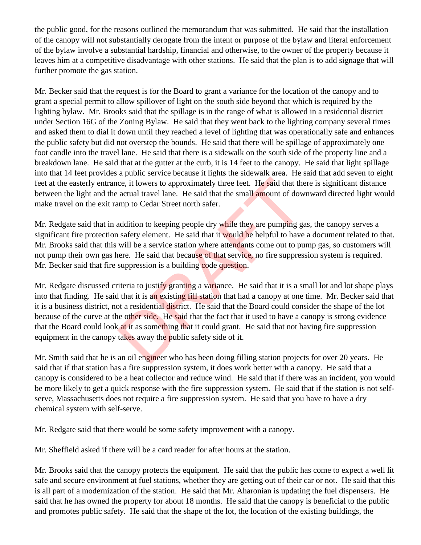the public good, for the reasons outlined the memorandum that was submitted. He said that the installation of the canopy will not substantially derogate from the intent or purpose of the bylaw and literal enforcement of the bylaw involve a substantial hardship, financial and otherwise, to the owner of the property because it leaves him at a competitive disadvantage with other stations. He said that the plan is to add signage that will further promote the gas station.

Mr. Becker said that the request is for the Board to grant a variance for the location of the canopy and to grant a special permit to allow spillover of light on the south side beyond that which is required by the lighting bylaw. Mr. Brooks said that the spillage is in the range of what is allowed in a residential district under Section 16G of the Zoning Bylaw. He said that they went back to the lighting company several times and asked them to dial it down until they reached a level of lighting that was operationally safe and enhances the public safety but did not overstep the bounds. He said that there will be spillage of approximately one foot candle into the travel lane. He said that there is a sidewalk on the south side of the property line and a breakdown lane. He said that at the gutter at the curb, it is 14 feet to the canopy. He said that light spillage into that 14 feet provides a public service because it lights the sidewalk area. He said that add seven to eight feet at the easterly entrance, it lowers to approximately three feet. He said that there is significant distance between the light and the actual travel lane. He said that the small amount of downward directed light would make travel on the exit ramp to Cedar Street north safer.

Mr. Redgate said that in addition to keeping people dry while they are pumping gas, the canopy serves a significant fire protection safety element. He said that it would be helpful to have a document related to that. Mr. Brooks said that this will be a service station where attendants come out to pump gas, so customers will not pump their own gas here. He said that because of that service, no fire suppression system is required. Mr. Becker said that fire suppression is a building code question.

Mr. Redgate discussed criteria to justify granting a variance. He said that it is a small lot and lot shape plays into that finding. He said that it is an existing fill station that had a canopy at one time. Mr. Becker said that it is a business district, not a residential district. He said that the Board could consider the shape of the lot because of the curve at the other side. He said that the fact that it used to have a canopy is strong evidence that the Board could look at it as something that it could grant. He said that not having fire suppression equipment in the canopy takes away the public safety side of it. ce, it lowers to approximately three feet. He said that the actual travel lane. He said that the small **amount** of dow<br>amp to Cedar Street north safer.<br>addition to keeping people dry while they are pumping g<br>a safety eleme

Mr. Smith said that he is an oil engineer who has been doing filling station projects for over 20 years. He said that if that station has a fire suppression system, it does work better with a canopy. He said that a canopy is considered to be a heat collector and reduce wind. He said that if there was an incident, you would be more likely to get a quick response with the fire suppression system. He said that if the station is not selfserve, Massachusetts does not require a fire suppression system. He said that you have to have a dry chemical system with self-serve.

Mr. Redgate said that there would be some safety improvement with a canopy.

Mr. Sheffield asked if there will be a card reader for after hours at the station.

Mr. Brooks said that the canopy protects the equipment. He said that the public has come to expect a well lit safe and secure environment at fuel stations, whether they are getting out of their car or not. He said that this is all part of a modernization of the station. He said that Mr. Aharonian is updating the fuel dispensers. He said that he has owned the property for about 18 months. He said that the canopy is beneficial to the public and promotes public safety. He said that the shape of the lot, the location of the existing buildings, the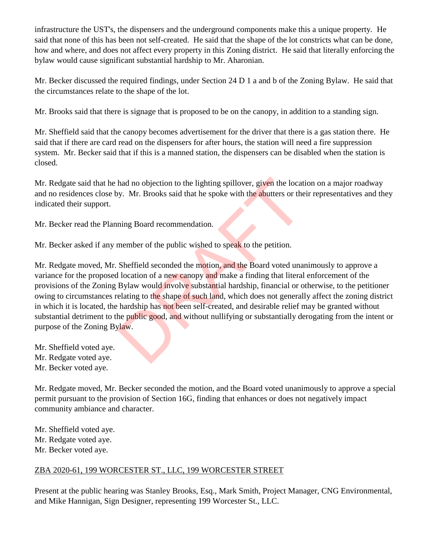infrastructure the UST's, the dispensers and the underground components make this a unique property. He said that none of this has been not self-created. He said that the shape of the lot constricts what can be done, how and where, and does not affect every property in this Zoning district. He said that literally enforcing the bylaw would cause significant substantial hardship to Mr. Aharonian.

Mr. Becker discussed the required findings, under Section 24 D 1 a and b of the Zoning Bylaw. He said that the circumstances relate to the shape of the lot.

Mr. Brooks said that there is signage that is proposed to be on the canopy, in addition to a standing sign.

Mr. Sheffield said that the canopy becomes advertisement for the driver that there is a gas station there. He said that if there are card read on the dispensers for after hours, the station will need a fire suppression system. Mr. Becker said that if this is a manned station, the dispensers can be disabled when the station is closed.

Mr. Redgate said that he had no objection to the lighting spillover, given the location on a major roadway and no residences close by. Mr. Brooks said that he spoke with the abutters or their representatives and they indicated their support.

Mr. Becker read the Planning Board recommendation.

Mr. Becker asked if any member of the public wished to speak to the petition.

Mr. Redgate moved, Mr. Sheffield seconded the motion, and the Board voted unanimously to approve a variance for the proposed location of a new canopy and make a finding that literal enforcement of the provisions of the Zoning Bylaw would involve substantial hardship, financial or otherwise, to the petitioner owing to circumstances relating to the shape of such land, which does not generally affect the zoning district in which it is located, the hardship has not been self-created, and desirable relief may be granted without substantial detriment to the public good, and without nullifying or substantially derogating from the intent or purpose of the Zoning Bylaw. had no objection to the lighting spillover, given the locat<br>by. Mr. Brooks said that he spoke with the abutters or the<br>ning Board recommendation.<br>member of the public wished to speak to the petition.<br>Sheffield seconded the

- Mr. Sheffield voted aye.
- Mr. Redgate voted aye.
- Mr. Becker voted aye.

Mr. Redgate moved, Mr. Becker seconded the motion, and the Board voted unanimously to approve a special permit pursuant to the provision of Section 16G, finding that enhances or does not negatively impact community ambiance and character.

Mr. Sheffield voted aye. Mr. Redgate voted aye. Mr. Becker voted aye.

## ZBA 2020-61, 199 WORCESTER ST., LLC, 199 WORCESTER STREET

Present at the public hearing was Stanley Brooks, Esq., Mark Smith, Project Manager, CNG Environmental, and Mike Hannigan, Sign Designer, representing 199 Worcester St., LLC.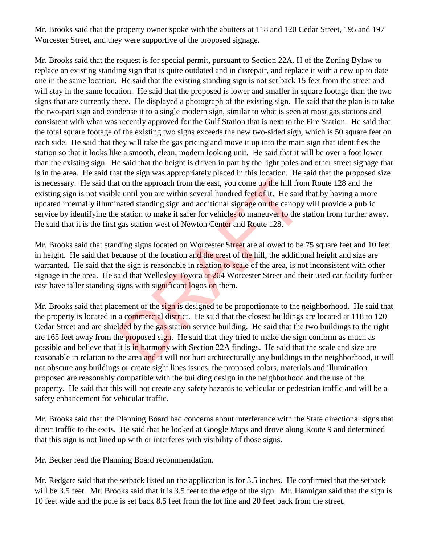Mr. Brooks said that the property owner spoke with the abutters at 118 and 120 Cedar Street, 195 and 197 Worcester Street, and they were supportive of the proposed signage.

Mr. Brooks said that the request is for special permit, pursuant to Section 22A. H of the Zoning Bylaw to replace an existing standing sign that is quite outdated and in disrepair, and replace it with a new up to date one in the same location. He said that the existing standing sign is not set back 15 feet from the street and will stay in the same location. He said that the proposed is lower and smaller in square footage than the two signs that are currently there. He displayed a photograph of the existing sign. He said that the plan is to take the two-part sign and condense it to a single modern sign, similar to what is seen at most gas stations and consistent with what was recently approved for the Gulf Station that is next to the Fire Station. He said that the total square footage of the existing two signs exceeds the new two-sided sign, which is 50 square feet on each side. He said that they will take the gas pricing and move it up into the main sign that identifies the station so that it looks like a smooth, clean, modern looking unit. He said that it will be over a foot lower than the existing sign. He said that the height is driven in part by the light poles and other street signage that is in the area. He said that the sign was appropriately placed in this location. He said that the proposed size is necessary. He said that on the approach from the east, you come up the hill from Route 128 and the existing sign is not visible until you are within several hundred feet of it. He said that by having a more updated internally illuminated standing sign and additional signage on the canopy will provide a public service by identifying the station to make it safer for vehicles to maneuver to the station from further away. He said that it is the first gas station west of Newton Center and Route 128.

Mr. Brooks said that standing signs located on Worcester Street are allowed to be 75 square feet and 10 feet in height. He said that because of the location and the crest of the hill, the additional height and size are warranted. He said that the sign is reasonable in relation to scale of the area, is not inconsistent with other signage in the area. He said that Wellesley Toyota at 264 Worcester Street and their used car facility further east have taller standing signs with significant logos on them.

Mr. Brooks said that placement of the sign is designed to be proportionate to the neighborhood. He said that the property is located in a commercial district. He said that the closest buildings are located at 118 to 120 Cedar Street and are shielded by the gas station service building. He said that the two buildings to the right are 165 feet away from the proposed sign. He said that they tried to make the sign conform as much as possible and believe that it is in harmony with Section 22A findings. He said that the scale and size are reasonable in relation to the area and it will not hurt architecturally any buildings in the neighborhood, it will not obscure any buildings or create sight lines issues, the proposed colors, materials and illumination proposed are reasonably compatible with the building design in the neighborhood and the use of the property. He said that this will not create any safety hazards to vehicular or pedestrian traffic and will be a safety enhancement for vehicular traffic. t on the approach from the east, you come up the hill from<br>e until you are within several hundred feet of it. He said<br>nated standing sign and additional signage on the canopy<br>e station to make it safer for vehicles to mane

Mr. Brooks said that the Planning Board had concerns about interference with the State directional signs that direct traffic to the exits. He said that he looked at Google Maps and drove along Route 9 and determined that this sign is not lined up with or interferes with visibility of those signs.

Mr. Becker read the Planning Board recommendation.

Mr. Redgate said that the setback listed on the application is for 3.5 inches. He confirmed that the setback will be 3.5 feet. Mr. Brooks said that it is 3.5 feet to the edge of the sign. Mr. Hannigan said that the sign is 10 feet wide and the pole is set back 8.5 feet from the lot line and 20 feet back from the street.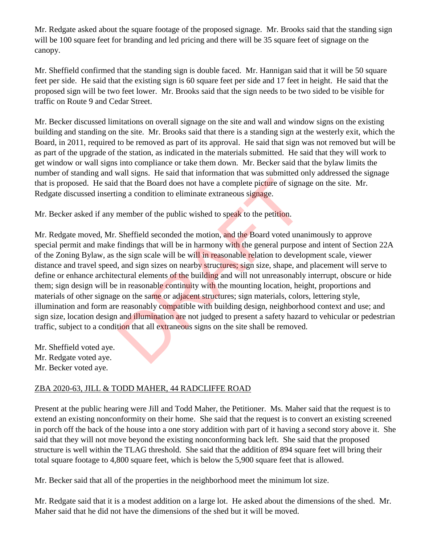Mr. Redgate asked about the square footage of the proposed signage. Mr. Brooks said that the standing sign will be 100 square feet for branding and led pricing and there will be 35 square feet of signage on the canopy.

Mr. Sheffield confirmed that the standing sign is double faced. Mr. Hannigan said that it will be 50 square feet per side. He said that the existing sign is 60 square feet per side and 17 feet in height. He said that the proposed sign will be two feet lower. Mr. Brooks said that the sign needs to be two sided to be visible for traffic on Route 9 and Cedar Street.

Mr. Becker discussed limitations on overall signage on the site and wall and window signs on the existing building and standing on the site. Mr. Brooks said that there is a standing sign at the westerly exit, which the Board, in 2011, required to be removed as part of its approval. He said that sign was not removed but will be as part of the upgrade of the station, as indicated in the materials submitted. He said that they will work to get window or wall signs into compliance or take them down. Mr. Becker said that the bylaw limits the number of standing and wall signs. He said that information that was submitted only addressed the signage that is proposed. He said that the Board does not have a complete picture of signage on the site. Mr. Redgate discussed inserting a condition to eliminate extraneous signage.

Mr. Becker asked if any member of the public wished to speak to the petition.

Mr. Redgate moved, Mr. Sheffield seconded the motion, and the Board voted unanimously to approve special permit and make findings that will be in harmony with the general purpose and intent of Section 22A of the Zoning Bylaw, as the sign scale will be will in reasonable relation to development scale, viewer distance and travel speed, and sign sizes on nearby structures; sign size, shape, and placement will serve to define or enhance architectural elements of the building and will not unreasonably interrupt, obscure or hide them; sign design will be in reasonable continuity with the mounting location, height, proportions and materials of other signage on the same or adjacent structures; sign materials, colors, lettering style, illumination and form are reasonably compatible with building design, neighborhood context and use; and sign size, location design and illumination are not judged to present a safety hazard to vehicular or pedestrian traffic, subject to a condition that all extraneous signs on the site shall be removed. I that the Board does not have a complete picture of signal and condition to eliminate extraneous signage.<br>
member of the public wished to speak to the petition.<br>
Sheffield seconded the motion, and the Board voted una<br>
fin

Mr. Sheffield voted aye. Mr. Redgate voted aye. Mr. Becker voted aye.

## ZBA 2020-63, JILL & TODD MAHER, 44 RADCLIFFE ROAD

Present at the public hearing were Jill and Todd Maher, the Petitioner. Ms. Maher said that the request is to extend an existing nonconformity on their home. She said that the request is to convert an existing screened in porch off the back of the house into a one story addition with part of it having a second story above it. She said that they will not move beyond the existing nonconforming back left. She said that the proposed structure is well within the TLAG threshold. She said that the addition of 894 square feet will bring their total square footage to 4,800 square feet, which is below the 5,900 square feet that is allowed.

Mr. Becker said that all of the properties in the neighborhood meet the minimum lot size.

Mr. Redgate said that it is a modest addition on a large lot. He asked about the dimensions of the shed. Mr. Maher said that he did not have the dimensions of the shed but it will be moved.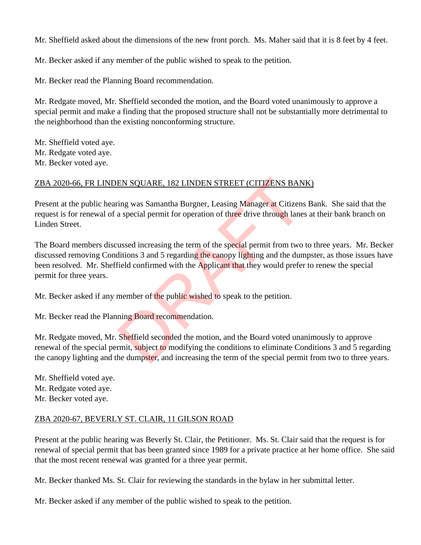Mr. Sheffield asked about the dimensions of the new front porch. Ms. Maher said that it is 8 feet by 4 feet.

Mr. Becker asked if any member of the public wished to speak to the petition.

Mr. Becker read the Planning Board recommendation.

Mr. Redgate moved, Mr. Sheffield seconded the motion, and the Board voted unanimously to approve a special permit and make a finding that the proposed structure shall not be substantially more detrimental to the neighborhood than the existing nonconforming structure.

Mr. Sheffield voted aye. Mr. Redgate voted aye. Mr. Becker voted aye.

### ZBA 2020-66, FR LINDEN SQUARE, 182 LINDEN STREET (CITIZENS BANK)

Present at the public hearing was Samantha Burgner, Leasing Manager at Citizens Bank. She said that the request is for renewal of a special permit for operation of three drive through lanes at their bank branch on Linden Street.

The Board members discussed increasing the term of the special permit from two to three years. Mr. Becker discussed removing Conditions 3 and 5 regarding the canopy lighting and the dumpster, as those issues have been resolved. Mr. Sheffield confirmed with the Applicant that they would prefer to renew the special permit for three years. EN SQUARE, 182 LINDEN STREET (CITIZENS BANT<br>
ing was Samantha Burgner, Leasing Manager at Citizens<br>
a special permit for operation of three drive through lane<br>
ussed increasing the term of the special permit from two<br>
usse

Mr. Becker asked if any member of the public wished to speak to the petition.

Mr. Becker read the Planning Board recommendation.

Mr. Redgate moved, Mr. Sheffield seconded the motion, and the Board voted unanimously to approve renewal of the special permit, subject to modifying the conditions to eliminate Conditions 3 and 5 regarding the canopy lighting and the dumpster, and increasing the term of the special permit from two to three years.

Mr. Sheffield voted aye. Mr. Redgate voted aye. Mr. Becker voted aye.

#### ZBA 2020-67, BEVERLY ST. CLAIR, 11 GILSON ROAD

Present at the public hearing was Beverly St. Clair, the Petitioner. Ms. St. Clair said that the request is for renewal of special permit that has been granted since 1989 for a private practice at her home office. She said that the most recent renewal was granted for a three year permit.

Mr. Becker thanked Ms. St. Clair for reviewing the standards in the bylaw in her submittal letter.

Mr. Becker asked if any member of the public wished to speak to the petition.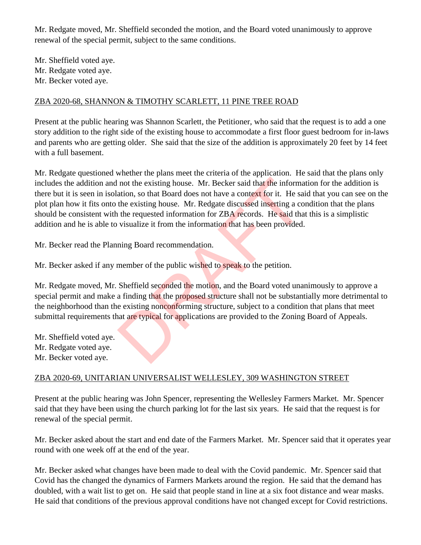Mr. Redgate moved, Mr. Sheffield seconded the motion, and the Board voted unanimously to approve renewal of the special permit, subject to the same conditions.

Mr. Sheffield voted aye. Mr. Redgate voted aye. Mr. Becker voted aye.

### ZBA 2020-68, SHANNON & TIMOTHY SCARLETT, 11 PINE TREE ROAD

Present at the public hearing was Shannon Scarlett, the Petitioner, who said that the request is to add a one story addition to the right side of the existing house to accommodate a first floor guest bedroom for in-laws and parents who are getting older. She said that the size of the addition is approximately 20 feet by 14 feet with a full basement.

Mr. Redgate questioned whether the plans meet the criteria of the application. He said that the plans only includes the addition and not the existing house. Mr. Becker said that the information for the addition is there but it is seen in isolation, so that Board does not have a context for it. He said that you can see on the plot plan how it fits onto the existing house. Mr. Redgate discussed inserting a condition that the plans should be consistent with the requested information for ZBA records. He said that this is a simplistic addition and he is able to visualize it from the information that has been provided. not the existing house. Mr. Becker said that the information, so that Board does not have a context for it. He sa<br>the existing house. Mr. Redgate discussed inserting a co<br>the requested information for ZBA records. He said

Mr. Becker read the Planning Board recommendation.

Mr. Becker asked if any member of the public wished to speak to the petition.

Mr. Redgate moved, Mr. Sheffield seconded the motion, and the Board voted unanimously to approve a special permit and make a finding that the proposed structure shall not be substantially more detrimental to the neighborhood than the existing nonconforming structure, subject to a condition that plans that meet submittal requirements that are typical for applications are provided to the Zoning Board of Appeals.

Mr. Sheffield voted aye. Mr. Redgate voted aye.

Mr. Becker voted aye.

### ZBA 2020-69, UNITARIAN UNIVERSALIST WELLESLEY, 309 WASHINGTON STREET

Present at the public hearing was John Spencer, representing the Wellesley Farmers Market. Mr. Spencer said that they have been using the church parking lot for the last six years. He said that the request is for renewal of the special permit.

Mr. Becker asked about the start and end date of the Farmers Market. Mr. Spencer said that it operates year round with one week off at the end of the year.

Mr. Becker asked what changes have been made to deal with the Covid pandemic. Mr. Spencer said that Covid has the changed the dynamics of Farmers Markets around the region. He said that the demand has doubled, with a wait list to get on. He said that people stand in line at a six foot distance and wear masks. He said that conditions of the previous approval conditions have not changed except for Covid restrictions.